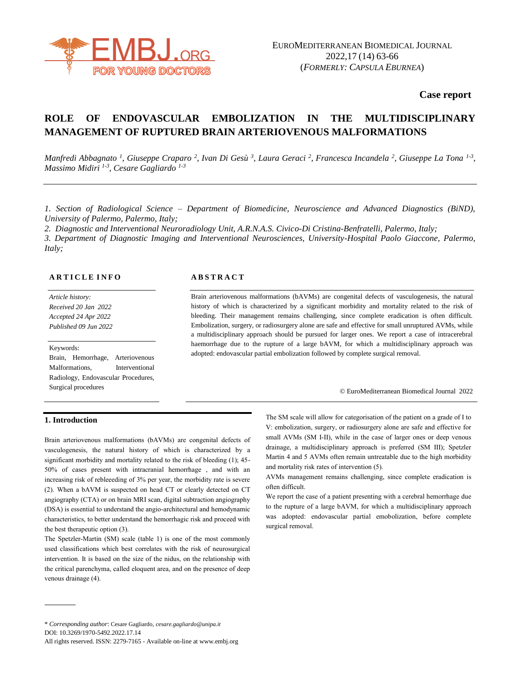

**Case report**

# **ROLE OF ENDOVASCULAR EMBOLIZATION IN THE MULTIDISCIPLINARY MANAGEMENT OF RUPTURED BRAIN ARTERIOVENOUS MALFORMATIONS**

*Manfredi Abbagnato <sup>1</sup>, Giuseppe Craparo <sup>2</sup>, Ivan Di Gesù <sup>3</sup>, Laura Geraci <sup>2</sup>, Francesca Incandela <sup>2</sup>, Giuseppe La Tona <sup>1-3</sup>, Massimo Midiri 1-3 , Cesare Gagliardo 1-3*

*1. Section of Radiological Science – Department of Biomedicine, Neuroscience and Advanced Diagnostics (BiND), University of Palermo, Palermo, Italy;*

*2. Diagnostic and Interventional Neuroradiology Unit, A.R.N.A.S. Civico-Di Cristina-Benfratelli, Palermo, Italy;*

*3. Department of Diagnostic Imaging and Interventional Neurosciences, University-Hospital Paolo Giaccone, Palermo, Italy;* 

### **A R T I C L E I N F O**

*Article history: Received 20 Jan 2022 Accepted 24 Apr 2022 Published 09 Jun 2022*

### Keywords:

Brain, Hemorrhage, Arteriovenous Malformations, Interventional Radiology, Endovascular Procedures, Surgical procedures

### **A B S T R A C T**

Brain arteriovenous malformations (bAVMs) are congenital defects of vasculogenesis, the natural history of which is characterized by a significant morbidity and mortality related to the risk of bleeding. Their management remains challenging, since complete eradication is often difficult. Embolization, surgery, or radiosurgery alone are safe and effective for small unruptured AVMs, while a multidisciplinary approach should be pursued for larger ones. We report a case of intracerebral haemorrhage due to the rupture of a large bAVM, for which a multidisciplinary approach was adopted: endovascular partial embolization followed by complete surgical removal.

© EuroMediterranean Biomedical Journal 2022

## **1. Introduction**

Brain arteriovenous malformations (bAVMs) are congenital defects of vasculogenesis, the natural history of which is characterized by a significant morbidity and mortality related to the risk of bleeding (1); 45- 50% of cases present with intracranial hemorrhage , and with an increasing risk of rebleeeding of 3% per year, the morbidity rate is severe (2). When a bAVM is suspected on head CT or clearly detected on CT angiography (CTA) or on brain MRI scan, digital subtraction angiography (DSA) is essential to understand the angio-architectural and hemodynamic characteristics, to better understand the hemorrhagic risk and proceed with the best therapeutic option (3).

The Spetzler-Martin (SM) scale (table 1) is one of the most commonly used classifications which best correlates with the risk of neurosurgical intervention. It is based on the size of the nidus, on the relationship with the critical parenchyma, called eloquent area, and on the presence of deep venous drainage (4).

The SM scale will allow for categorisation of the patient on a grade of I to V: embolization, surgery, or radiosurgery alone are safe and effective for small AVMs (SM I-II), while in the case of larger ones or deep venous drainage, a multidisciplinary approach is preferred (SM III); Spetzler Martin 4 and 5 AVMs often remain untreatable due to the high morbidity and mortality risk rates of intervention (5).

AVMs management remains challenging, since complete eradication is often difficult.

We report the case of a patient presenting with a cerebral hemorrhage due to the rupture of a large bAVM, for which a multidisciplinary approach was adopted: endovascular partial emobolization, before complete surgical removal.

<sup>\*</sup> *Corresponding author*: Cesare Gagliardo, *cesare.gagliardo@unipa.it* DOI: 10.3269/1970-5492.2022.17.14

All rights reserved. ISSN: 2279-7165 - Available on-line at www.embj.org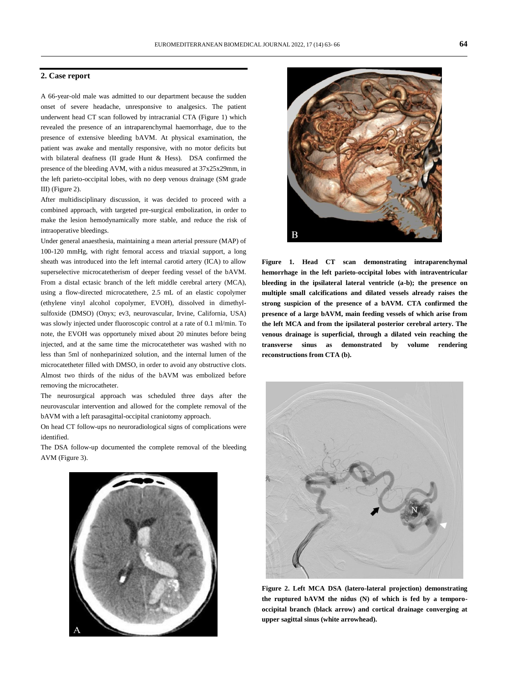### **2. Case report**

A 66-year-old male was admitted to our department because the sudden onset of severe headache, unresponsive to analgesics. The patient underwent head CT scan followed by intracranial CTA (Figure 1) which revealed the presence of an intraparenchymal haemorrhage, due to the presence of extensive bleeding bAVM. At physical examination, the patient was awake and mentally responsive, with no motor deficits but with bilateral deafness (II grade Hunt & Hess). DSA confirmed the presence of the bleeding AVM, with a nidus measured at 37x25x29mm, in the left parieto-occipital lobes, with no deep venous drainage (SM grade III) (Figure 2).

After multidisciplinary discussion, it was decided to proceed with a combined approach, with targeted pre-surgical embolization, in order to make the lesion hemodynamically more stable, and reduce the risk of intraoperative bleedings.

Under general anaesthesia, maintaining a mean arterial pressure (MAP) of 100-120 mmHg, with right femoral access and triaxial support, a long sheath was introduced into the left internal carotid artery (ICA) to allow superselective microcatetherism of deeper feeding vessel of the bAVM. From a distal ectasic branch of the left middle cerebral artery (MCA), using a flow-directed microcatethere, 2.5 mL of an elastic copolymer (ethylene vinyl alcohol copolymer, EVOH), dissolved in dimethylsulfoxide (DMSO) (Onyx; ev3, neurovascular, Irvine, California, USA) was slowly injected under fluoroscopic control at a rate of 0.1 ml/min. To note, the EVOH was opportunely mixed about 20 minutes before being injected, and at the same time the microcatetheter was washed with no less than 5ml of nonheparinized solution, and the internal lumen of the microcatetheter filled with DMSO, in order to avoid any obstructive clots. Almost two thirds of the nidus of the bAVM was embolized before removing the microcatheter.

The neurosurgical approach was scheduled three days after the neurovascular intervention and allowed for the complete removal of the bAVM with a left parasagittal-occipital craniotomy approach.

On head CT follow-ups no neuroradiological signs of complications were identified.

The DSA follow-up documented the complete removal of the bleeding AVM (Figure 3).





**Figure 1. Head CT scan demonstrating intraparenchymal hemorrhage in the left parieto-occipital lobes with intraventricular bleeding in the ipsilateral lateral ventricle (a-b); the presence on multiple small calcifications and dilated vessels already raises the strong suspicion of the presence of a bAVM. CTA confirmed the presence of a large bAVM, main feeding vessels of which arise from the left MCA and from the ipsilateral posterior cerebral artery. The venous drainage is superficial, through a dilated vein reaching the transverse sinus as demonstrated by volume rendering reconstructions from CTA (b).**



**Figure 2. Left MCA DSA (latero-lateral projection) demonstrating the ruptured bAVM the nidus (N) of which is fed by a temporooccipital branch (black arrow) and cortical drainage converging at upper sagittal sinus (white arrowhead).**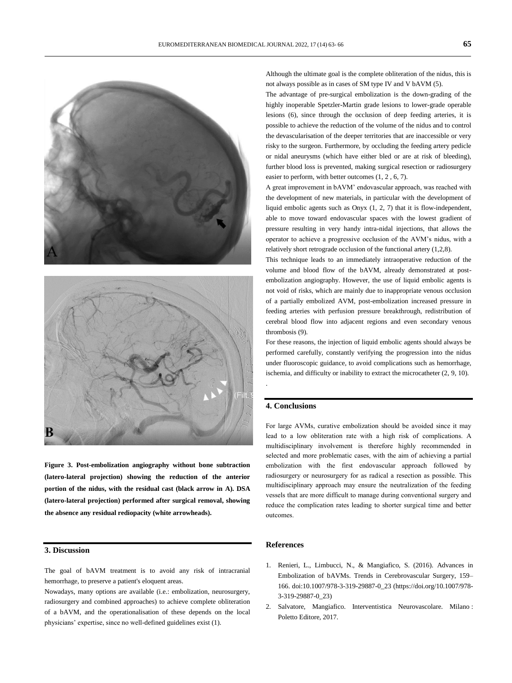



**Figure 3. Post-embolization angiography without bone subtraction (latero-lateral projection) showing the reduction of the anterior portion of the nidus, with the residual cast (black arrow in A). DSA (latero-lateral projection) performed after surgical removal, showing the absence any residual rediopacity (white arrowheads).**

# **3. Discussion**

The goal of bAVM treatment is to avoid any risk of intracranial hemorrhage, to preserve a patient's eloquent areas.

Nowadays, many options are available (i.e.: embolization, neurosurgery, radiosurgery and combined approaches) to achieve complete obliteration of a bAVM, and the operationalisation of these depends on the local physicians' expertise, since no well-defined guidelines exist (1).

Although the ultimate goal is the complete obliteration of the nidus, this is not always possible as in cases of SM type IV and V bAVM (5).

The advantage of pre-surgical embolization is the down-grading of the highly inoperable Spetzler-Martin grade lesions to lower-grade operable lesions (6), since through the occlusion of deep feeding arteries, it is possible to achieve the reduction of the volume of the nidus and to control the devascularisation of the deeper territories that are inaccessible or very risky to the surgeon. Furthermore, by occluding the feeding artery pedicle or nidal aneurysms (which have either bled or are at risk of bleeding), further blood loss is prevented, making surgical resection or radiosurgery easier to perform, with better outcomes (1, 2 , 6, 7).

A great improvement in bAVM' endovascular approach, was reached with the development of new materials, in particular with the development of liquid embolic agents such as Onyx (1, 2, 7) that it is flow-independent, able to move toward endovascular spaces with the lowest gradient of pressure resulting in very handy intra-nidal injections, that allows the operator to achieve a progressive occlusion of the AVM's nidus, with a relatively short retrograde occlusion of the functional artery (1,2,8).

This technique leads to an immediately intraoperative reduction of the volume and blood flow of the bAVM, already demonstrated at postembolization angiography. However, the use of liquid embolic agents is not void of risks, which are mainly due to inappropriate venous occlusion of a partially embolized AVM, post-embolization increased pressure in feeding arteries with perfusion pressure breakthrough, redistribution of cerebral blood flow into adjacent regions and even secondary venous thrombosis (9).

For these reasons, the injection of liquid embolic agents should always be performed carefully, constantly verifying the progression into the nidus under fluoroscopic guidance, to avoid complications such as hemorrhage, ischemia, and difficulty or inability to extract the microcatheter (2, 9, 10).

### **4. Conclusions**

.

For large AVMs, curative embolization should be avoided since it may lead to a low obliteration rate with a high risk of complications. A multidisciplinary involvement is therefore highly recommended in selected and more problematic cases, with the aim of achieving a partial embolization with the first endovascular approach followed by radiosurgery or neurosurgery for as radical a resection as possible. This multidisciplinary approach may ensure the neutralization of the feeding vessels that are more difficult to manage during conventional surgery and reduce the complication rates leading to shorter surgical time and better outcomes.

# **References**

- 1. Renieri, L., Limbucci, N., & Mangiafico, S. (2016). Advances in Embolization of bAVMs. Trends in Cerebrovascular Surgery, 159– 166. doi:10.1007/978-3-319-29887-0\_23 [\(https://doi.org/10.1007/978-](https://doi.org/10.1007/978-3-319-29887-0_23) [3-319-29887-0\\_23\)](https://doi.org/10.1007/978-3-319-29887-0_23)
- 2. Salvatore, Mangiafico. Interventistica Neurovascolare. Milano : Poletto Editore, 2017.